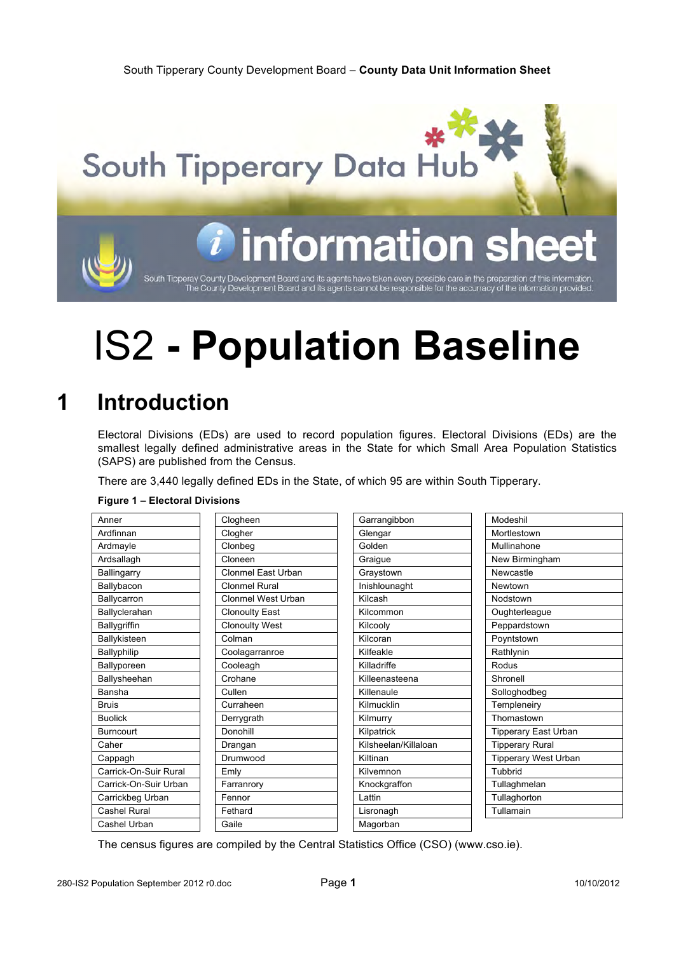South Tipperary County Development Board – **County Data Unit Information Sheet**



# ıformatioı

South Tipperay County Development Board and its agents have taken every possible care in the preparation of this information<br>The County Development Board and its agents cannot be responsible for the accurracy of the inform

# IS2 **- Population Baseline**

## **1 Introduction**

Electoral Divisions (EDs) are used to record population figures. Electoral Divisions (EDs) are the smallest legally defined administrative areas in the State for which Small Area Population Statistics (SAPS) are published from the Census.

There are 3,440 legally defined EDs in the State, of which 95 are within South Tipperary.

| Anner                 | Clogheen                  | Garrangibbon         | Modeshil                    |
|-----------------------|---------------------------|----------------------|-----------------------------|
| Ardfinnan             | Clogher                   | Glengar              | Mortlestown                 |
| Ardmayle              | Clonbeg                   | Golden               | Mullinahone                 |
| Ardsallagh            | Cloneen                   | Graigue              | New Birmingham              |
| Ballingarry           | <b>Clonmel East Urban</b> | Graystown            | Newcastle                   |
| Ballybacon            | Clonmel Rural             | Inishlounaght        | Newtown                     |
| Ballycarron           | <b>Clonmel West Urban</b> | Kilcash              | Nodstown                    |
| Ballyclerahan         | <b>Clonoulty East</b>     | Kilcommon            | Oughterleague               |
| Ballygriffin          | <b>Clonoulty West</b>     | Kilcooly             | Peppardstown                |
| Ballykisteen          | Colman                    | Kilcoran             | Poyntstown                  |
| Ballyphilip           | Coolagarranroe            | Kilfeakle            | Rathlynin                   |
| Ballyporeen           | Cooleagh                  | Killadriffe          | Rodus                       |
| Ballysheehan          | Crohane                   | Killeenasteena       | Shronell                    |
| Bansha                | Cullen                    | Killenaule           | Solloghodbeg                |
| <b>Bruis</b>          | Curraheen                 | Kilmucklin           | Templeneiry                 |
| <b>Buolick</b>        | Derrygrath                | Kilmurry             | Thomastown                  |
| <b>Burncourt</b>      | Donohill                  | Kilpatrick           | Tipperary East Urban        |
| Caher                 | Drangan                   | Kilsheelan/Killaloan | <b>Tipperary Rural</b>      |
| Cappagh               | Drumwood                  | Kiltinan             | <b>Tipperary West Urban</b> |
| Carrick-On-Suir Rural | Emly                      | Kilvemnon            | Tubbrid                     |
| Carrick-On-Suir Urban | Farranrory                | Knockgraffon         | Tullaghmelan                |
| Carrickbeg Urban      | Fennor                    | Lattin               | Tullaghorton                |
| <b>Cashel Rural</b>   | Fethard                   | Lisronagh            | Tullamain                   |
| Cashel Urban          | Gaile                     | Magorban             |                             |

#### **Figure 1 – Electoral Divisions**

The census figures are compiled by the Central Statistics Office (CSO) (www.cso.ie).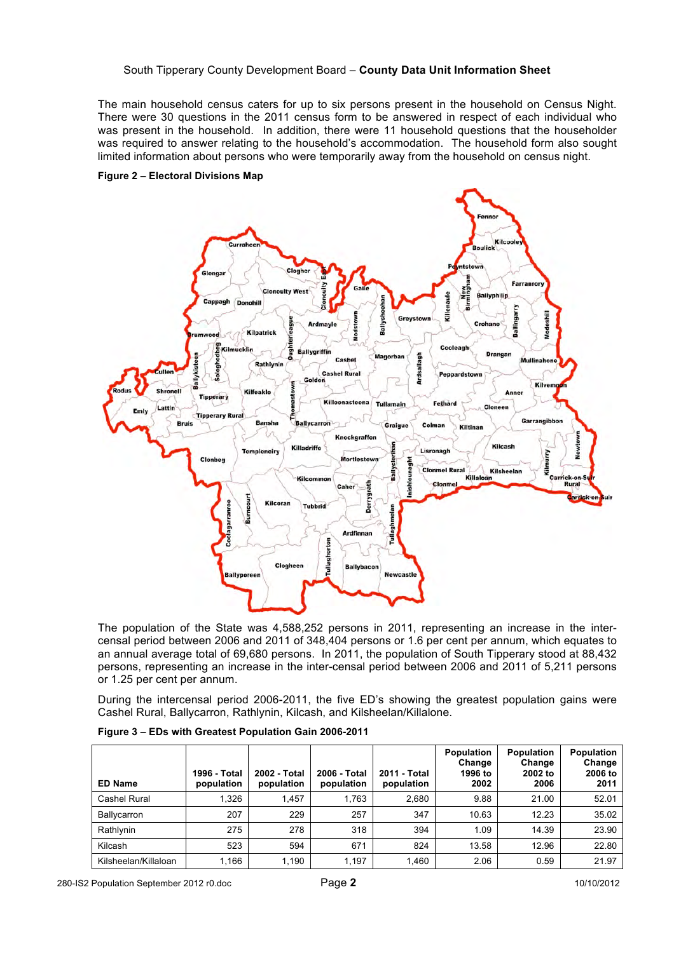#### South Tipperary County Development Board – **County Data Unit Information Sheet**

The main household census caters for up to six persons present in the household on Census Night. There were 30 questions in the 2011 census form to be answered in respect of each individual who was present in the household. In addition, there were 11 household questions that the householder was required to answer relating to the household's accommodation. The household form also sought limited information about persons who were temporarily away from the household on census night.



#### **Figure 2 – Electoral Divisions Map**

The population of the State was 4,588,252 persons in 2011, representing an increase in the intercensal period between 2006 and 2011 of 348,404 persons or 1.6 per cent per annum, which equates to an annual average total of 69,680 persons. In 2011, the population of South Tipperary stood at 88,432 persons, representing an increase in the inter-censal period between 2006 and 2011 of 5,211 persons or 1.25 per cent per annum.

During the intercensal period 2006-2011, the five ED's showing the greatest population gains were Cashel Rural, Ballycarron, Rathlynin, Kilcash, and Kilsheelan/Killalone.

| <b>ED Name</b>       | 1996 - Total<br>population | 2002 - Total<br>population | 2006 - Total<br>population | 2011 - Total<br>population | <b>Population</b><br>Change<br>1996 to<br>2002 | <b>Population</b><br>Change<br>2002 to<br>2006 | <b>Population</b><br>Change<br>2006 to<br>2011 |
|----------------------|----------------------------|----------------------------|----------------------------|----------------------------|------------------------------------------------|------------------------------------------------|------------------------------------------------|
| Cashel Rural         | .326                       | 1,457                      | 1.763                      | 2,680                      | 9.88                                           | 21.00                                          | 52.01                                          |
| Ballycarron          | 207                        | 229                        | 257                        | 347                        | 10.63                                          | 12.23                                          | 35.02                                          |
| Rathlynin            | 275                        | 278                        | 318                        | 394                        | 1.09                                           | 14.39                                          | 23.90                                          |
| Kilcash              | 523                        | 594                        | 671                        | 824                        | 13.58                                          | 12.96                                          | 22.80                                          |
| Kilsheelan/Killaloan | 1,166                      | 1,190                      | 1.197                      | 1.460                      | 2.06                                           | 0.59                                           | 21.97                                          |

**Figure 3 – EDs with Greatest Population Gain 2006-2011**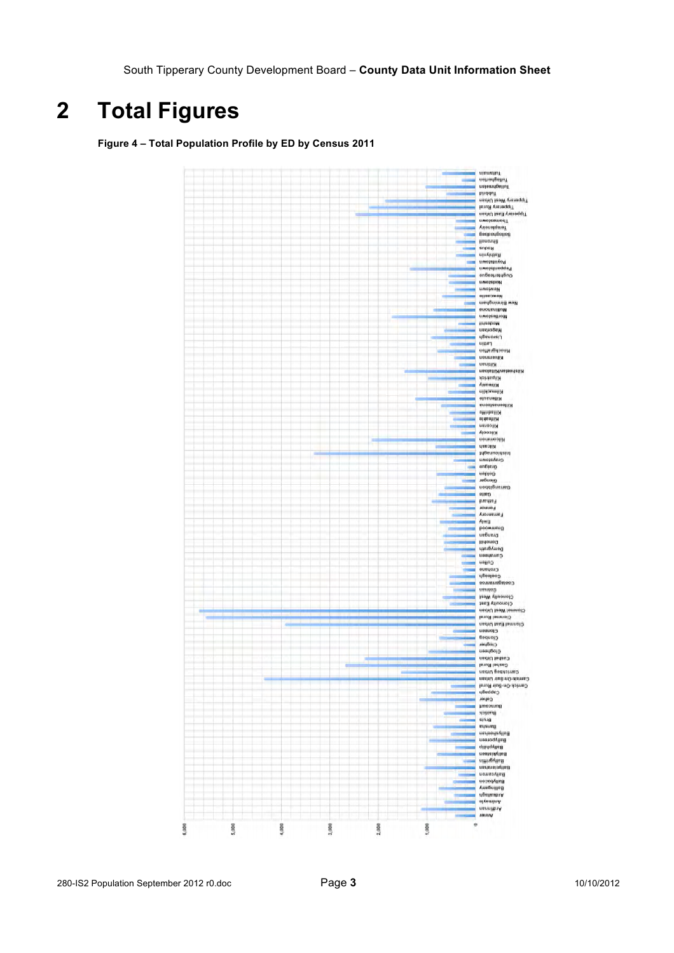## **2 Total Figures**

**Figure 4 – Total Population Profile by ED by Census 2011**

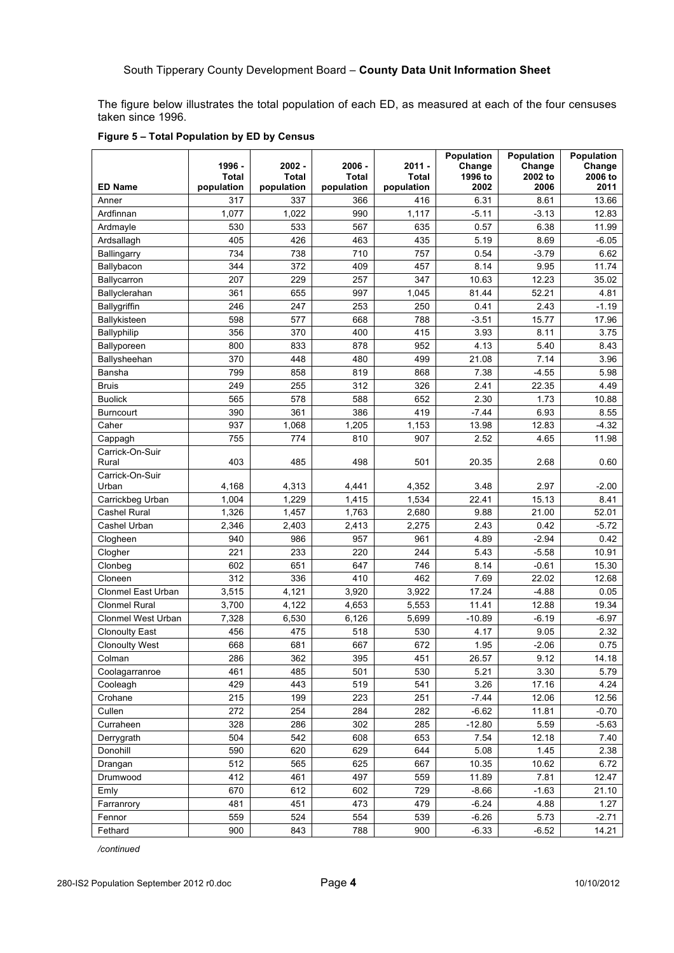The figure below illustrates the total population of each ED, as measured at each of the four censuses taken since 1996.

| <b>Total</b><br><b>Total</b><br><b>Total</b><br><b>Total</b><br>1996 to<br>2006 to<br>2002 to<br>2011<br><b>ED Name</b><br>population<br>population<br>population<br>population<br>2002<br>2006<br>317<br>337<br>416<br>6.31<br>8.61<br>13.66<br>Anner<br>366<br>1,077<br>1,022<br>990<br>1,117<br>$-5.11$<br>$-3.13$<br>12.83<br>Ardfinnan<br>530<br>533<br>567<br>635<br>0.57<br>6.38<br>11.99<br>Ardmayle<br>405<br>426<br>463<br>435<br>5.19<br>8.69<br>$-6.05$<br>Ardsallagh<br>734<br>710<br>757<br>$-3.79$<br>Ballingarry<br>738<br>0.54<br>6.62<br>344<br>372<br>409<br>457<br>8.14<br>9.95<br>11.74<br>Ballybacon<br>257<br>207<br>229<br>347<br>10.63<br>12.23<br>35.02<br>Ballycarron<br>361<br>655<br>997<br>1,045<br>81.44<br>52.21<br>4.81<br>Ballyclerahan<br>246<br>247<br>253<br>250<br>2.43<br>Ballygriffin<br>0.41<br>$-1.19$<br>598<br>577<br>668<br>788<br>$-3.51$<br>15.77<br>17.96<br>Ballykisteen<br>356<br>370<br>400<br>415<br>3.93<br>8.11<br>Ballyphilip<br>3.75<br>800<br>833<br>878<br>952<br>5.40<br>Ballyporeen<br>4.13<br>8.43<br>370<br>7.14<br>448<br>480<br>499<br>21.08<br>3.96<br>Ballysheehan<br>799<br>858<br>819<br>868<br>7.38<br>$-4.55$<br>Bansha<br>5.98<br><b>Bruis</b><br>249<br>255<br>312<br>326<br>2.41<br>22.35<br>4.49<br>565<br>2.30<br><b>Buolick</b><br>578<br>588<br>652<br>1.73<br>10.88<br>390<br>361<br>386<br>419<br>$-7.44$<br>6.93<br><b>Burncourt</b><br>8.55<br>937<br>1,068<br>1,205<br>1,153<br>13.98<br>12.83<br>$-4.32$<br>Caher<br>755<br>774<br>810<br>907<br>2.52<br>4.65<br>11.98<br>Cappagh<br>Carrick-On-Suir<br>403<br>Rural<br>485<br>498<br>501<br>20.35<br>2.68<br>0.60<br>Carrick-On-Suir<br>4,168<br>4,313<br>4,441<br>4,352<br>3.48<br>2.97<br>$-2.00$<br>Urban<br>1,004<br>1,229<br>1,415<br>1,534<br>22.41<br>15.13<br>8.41<br>Carrickbeg Urban<br>Cashel Rural<br>1,326<br>1,457<br>1,763<br>2,680<br>9.88<br>21.00<br>52.01<br>Cashel Urban<br>2,346<br>2,413<br>2,275<br>2.43<br>0.42<br>$-5.72$<br>2,403<br>940<br>986<br>957<br>961<br>4.89<br>$-2.94$<br>0.42<br>Clogheen<br>221<br>220<br>$-5.58$<br>Clogher<br>233<br>244<br>5.43<br>10.91<br>602<br>Clonbeg<br>651<br>647<br>746<br>8.14<br>$-0.61$<br>15.30<br>312<br>336<br>410<br>Cloneen<br>462<br>7.69<br>22.02<br>12.68<br>3,515<br>4,121<br>3,922<br>17.24<br>$-4.88$<br>Clonmel East Urban<br>3,920<br>0.05<br>3,700<br>19.34<br><b>Clonmel Rural</b><br>4,122<br>4,653<br>5,553<br>11.41<br>12.88<br>Clonmel West Urban<br>7,328<br>6,530<br>5,699<br>$-10.89$<br>$-6.19$<br>6,126<br>$-6.97$<br><b>Clonoulty East</b><br>456<br>475<br>518<br>530<br>4.17<br>9.05<br>2.32<br><b>Clonoulty West</b><br>668<br>672<br>1.95<br>$-2.06$<br>0.75<br>681<br>667<br>26.57<br>286<br>362<br>395<br>451<br>9.12<br>14.18<br>Colman<br>461<br>485<br>530<br>5.21<br>3.30<br>5.79<br>501<br>Coolagarranroe<br>429<br>443<br>519<br>541<br>3.26<br>17.16<br>4.24<br>Cooleagh<br>215<br>199<br>223<br>251<br>$-7.44$<br>12.56<br>Crohane<br>12.06<br>272<br>Cullen<br>254<br>284<br>282<br>$-6.62$<br>11.81<br>$-0.70$<br>328<br>5.59<br>286<br>302<br>285<br>$-12.80$<br>$-5.63$<br>Curraheen<br>504<br>542<br>608<br>653<br>7.54<br>12.18<br>7.40<br>Derrygrath<br>590<br>629<br>644<br>Donohill<br>620<br>5.08<br>1.45<br>2.38<br>512<br>565<br>625<br>667<br>10.35<br>10.62<br>6.72<br>Drangan<br>412<br>461<br>497<br>559<br>7.81<br>Drumwood<br>11.89<br>12.47<br>670<br>612<br>602<br>729<br>$-1.63$<br>$-8.66$<br>21.10<br>Emly<br>481<br>451<br>473<br>479<br>$-6.24$<br>4.88<br>1.27<br>Farranrory<br>559<br>524<br>554<br>539<br>$-6.26$<br>5.73<br>$-2.71$<br>Fennor |         |        |          |        |          | Population | Population | Population |
|---------------------------------------------------------------------------------------------------------------------------------------------------------------------------------------------------------------------------------------------------------------------------------------------------------------------------------------------------------------------------------------------------------------------------------------------------------------------------------------------------------------------------------------------------------------------------------------------------------------------------------------------------------------------------------------------------------------------------------------------------------------------------------------------------------------------------------------------------------------------------------------------------------------------------------------------------------------------------------------------------------------------------------------------------------------------------------------------------------------------------------------------------------------------------------------------------------------------------------------------------------------------------------------------------------------------------------------------------------------------------------------------------------------------------------------------------------------------------------------------------------------------------------------------------------------------------------------------------------------------------------------------------------------------------------------------------------------------------------------------------------------------------------------------------------------------------------------------------------------------------------------------------------------------------------------------------------------------------------------------------------------------------------------------------------------------------------------------------------------------------------------------------------------------------------------------------------------------------------------------------------------------------------------------------------------------------------------------------------------------------------------------------------------------------------------------------------------------------------------------------------------------------------------------------------------------------------------------------------------------------------------------------------------------------------------------------------------------------------------------------------------------------------------------------------------------------------------------------------------------------------------------------------------------------------------------------------------------------------------------------------------------------------------------------------------------------------------------------------------------------------------------------------------------------------------------------------------------------------------------------------------------------------------------------------------------------------------------------------------------------------------------------------------------------------------------------------------------------------------------------------------------------------------------------------------------------------------------------------------------------|---------|--------|----------|--------|----------|------------|------------|------------|
|                                                                                                                                                                                                                                                                                                                                                                                                                                                                                                                                                                                                                                                                                                                                                                                                                                                                                                                                                                                                                                                                                                                                                                                                                                                                                                                                                                                                                                                                                                                                                                                                                                                                                                                                                                                                                                                                                                                                                                                                                                                                                                                                                                                                                                                                                                                                                                                                                                                                                                                                                                                                                                                                                                                                                                                                                                                                                                                                                                                                                                                                                                                                                                                                                                                                                                                                                                                                                                                                                                                                                                                                                           |         | 1996 - | $2002 -$ | 2006 - | $2011 -$ | Change     | Change     | Change     |
|                                                                                                                                                                                                                                                                                                                                                                                                                                                                                                                                                                                                                                                                                                                                                                                                                                                                                                                                                                                                                                                                                                                                                                                                                                                                                                                                                                                                                                                                                                                                                                                                                                                                                                                                                                                                                                                                                                                                                                                                                                                                                                                                                                                                                                                                                                                                                                                                                                                                                                                                                                                                                                                                                                                                                                                                                                                                                                                                                                                                                                                                                                                                                                                                                                                                                                                                                                                                                                                                                                                                                                                                                           |         |        |          |        |          |            |            |            |
|                                                                                                                                                                                                                                                                                                                                                                                                                                                                                                                                                                                                                                                                                                                                                                                                                                                                                                                                                                                                                                                                                                                                                                                                                                                                                                                                                                                                                                                                                                                                                                                                                                                                                                                                                                                                                                                                                                                                                                                                                                                                                                                                                                                                                                                                                                                                                                                                                                                                                                                                                                                                                                                                                                                                                                                                                                                                                                                                                                                                                                                                                                                                                                                                                                                                                                                                                                                                                                                                                                                                                                                                                           |         |        |          |        |          |            |            |            |
|                                                                                                                                                                                                                                                                                                                                                                                                                                                                                                                                                                                                                                                                                                                                                                                                                                                                                                                                                                                                                                                                                                                                                                                                                                                                                                                                                                                                                                                                                                                                                                                                                                                                                                                                                                                                                                                                                                                                                                                                                                                                                                                                                                                                                                                                                                                                                                                                                                                                                                                                                                                                                                                                                                                                                                                                                                                                                                                                                                                                                                                                                                                                                                                                                                                                                                                                                                                                                                                                                                                                                                                                                           |         |        |          |        |          |            |            |            |
|                                                                                                                                                                                                                                                                                                                                                                                                                                                                                                                                                                                                                                                                                                                                                                                                                                                                                                                                                                                                                                                                                                                                                                                                                                                                                                                                                                                                                                                                                                                                                                                                                                                                                                                                                                                                                                                                                                                                                                                                                                                                                                                                                                                                                                                                                                                                                                                                                                                                                                                                                                                                                                                                                                                                                                                                                                                                                                                                                                                                                                                                                                                                                                                                                                                                                                                                                                                                                                                                                                                                                                                                                           |         |        |          |        |          |            |            |            |
|                                                                                                                                                                                                                                                                                                                                                                                                                                                                                                                                                                                                                                                                                                                                                                                                                                                                                                                                                                                                                                                                                                                                                                                                                                                                                                                                                                                                                                                                                                                                                                                                                                                                                                                                                                                                                                                                                                                                                                                                                                                                                                                                                                                                                                                                                                                                                                                                                                                                                                                                                                                                                                                                                                                                                                                                                                                                                                                                                                                                                                                                                                                                                                                                                                                                                                                                                                                                                                                                                                                                                                                                                           |         |        |          |        |          |            |            |            |
|                                                                                                                                                                                                                                                                                                                                                                                                                                                                                                                                                                                                                                                                                                                                                                                                                                                                                                                                                                                                                                                                                                                                                                                                                                                                                                                                                                                                                                                                                                                                                                                                                                                                                                                                                                                                                                                                                                                                                                                                                                                                                                                                                                                                                                                                                                                                                                                                                                                                                                                                                                                                                                                                                                                                                                                                                                                                                                                                                                                                                                                                                                                                                                                                                                                                                                                                                                                                                                                                                                                                                                                                                           |         |        |          |        |          |            |            |            |
|                                                                                                                                                                                                                                                                                                                                                                                                                                                                                                                                                                                                                                                                                                                                                                                                                                                                                                                                                                                                                                                                                                                                                                                                                                                                                                                                                                                                                                                                                                                                                                                                                                                                                                                                                                                                                                                                                                                                                                                                                                                                                                                                                                                                                                                                                                                                                                                                                                                                                                                                                                                                                                                                                                                                                                                                                                                                                                                                                                                                                                                                                                                                                                                                                                                                                                                                                                                                                                                                                                                                                                                                                           |         |        |          |        |          |            |            |            |
|                                                                                                                                                                                                                                                                                                                                                                                                                                                                                                                                                                                                                                                                                                                                                                                                                                                                                                                                                                                                                                                                                                                                                                                                                                                                                                                                                                                                                                                                                                                                                                                                                                                                                                                                                                                                                                                                                                                                                                                                                                                                                                                                                                                                                                                                                                                                                                                                                                                                                                                                                                                                                                                                                                                                                                                                                                                                                                                                                                                                                                                                                                                                                                                                                                                                                                                                                                                                                                                                                                                                                                                                                           |         |        |          |        |          |            |            |            |
|                                                                                                                                                                                                                                                                                                                                                                                                                                                                                                                                                                                                                                                                                                                                                                                                                                                                                                                                                                                                                                                                                                                                                                                                                                                                                                                                                                                                                                                                                                                                                                                                                                                                                                                                                                                                                                                                                                                                                                                                                                                                                                                                                                                                                                                                                                                                                                                                                                                                                                                                                                                                                                                                                                                                                                                                                                                                                                                                                                                                                                                                                                                                                                                                                                                                                                                                                                                                                                                                                                                                                                                                                           |         |        |          |        |          |            |            |            |
|                                                                                                                                                                                                                                                                                                                                                                                                                                                                                                                                                                                                                                                                                                                                                                                                                                                                                                                                                                                                                                                                                                                                                                                                                                                                                                                                                                                                                                                                                                                                                                                                                                                                                                                                                                                                                                                                                                                                                                                                                                                                                                                                                                                                                                                                                                                                                                                                                                                                                                                                                                                                                                                                                                                                                                                                                                                                                                                                                                                                                                                                                                                                                                                                                                                                                                                                                                                                                                                                                                                                                                                                                           |         |        |          |        |          |            |            |            |
|                                                                                                                                                                                                                                                                                                                                                                                                                                                                                                                                                                                                                                                                                                                                                                                                                                                                                                                                                                                                                                                                                                                                                                                                                                                                                                                                                                                                                                                                                                                                                                                                                                                                                                                                                                                                                                                                                                                                                                                                                                                                                                                                                                                                                                                                                                                                                                                                                                                                                                                                                                                                                                                                                                                                                                                                                                                                                                                                                                                                                                                                                                                                                                                                                                                                                                                                                                                                                                                                                                                                                                                                                           |         |        |          |        |          |            |            |            |
|                                                                                                                                                                                                                                                                                                                                                                                                                                                                                                                                                                                                                                                                                                                                                                                                                                                                                                                                                                                                                                                                                                                                                                                                                                                                                                                                                                                                                                                                                                                                                                                                                                                                                                                                                                                                                                                                                                                                                                                                                                                                                                                                                                                                                                                                                                                                                                                                                                                                                                                                                                                                                                                                                                                                                                                                                                                                                                                                                                                                                                                                                                                                                                                                                                                                                                                                                                                                                                                                                                                                                                                                                           |         |        |          |        |          |            |            |            |
|                                                                                                                                                                                                                                                                                                                                                                                                                                                                                                                                                                                                                                                                                                                                                                                                                                                                                                                                                                                                                                                                                                                                                                                                                                                                                                                                                                                                                                                                                                                                                                                                                                                                                                                                                                                                                                                                                                                                                                                                                                                                                                                                                                                                                                                                                                                                                                                                                                                                                                                                                                                                                                                                                                                                                                                                                                                                                                                                                                                                                                                                                                                                                                                                                                                                                                                                                                                                                                                                                                                                                                                                                           |         |        |          |        |          |            |            |            |
|                                                                                                                                                                                                                                                                                                                                                                                                                                                                                                                                                                                                                                                                                                                                                                                                                                                                                                                                                                                                                                                                                                                                                                                                                                                                                                                                                                                                                                                                                                                                                                                                                                                                                                                                                                                                                                                                                                                                                                                                                                                                                                                                                                                                                                                                                                                                                                                                                                                                                                                                                                                                                                                                                                                                                                                                                                                                                                                                                                                                                                                                                                                                                                                                                                                                                                                                                                                                                                                                                                                                                                                                                           |         |        |          |        |          |            |            |            |
|                                                                                                                                                                                                                                                                                                                                                                                                                                                                                                                                                                                                                                                                                                                                                                                                                                                                                                                                                                                                                                                                                                                                                                                                                                                                                                                                                                                                                                                                                                                                                                                                                                                                                                                                                                                                                                                                                                                                                                                                                                                                                                                                                                                                                                                                                                                                                                                                                                                                                                                                                                                                                                                                                                                                                                                                                                                                                                                                                                                                                                                                                                                                                                                                                                                                                                                                                                                                                                                                                                                                                                                                                           |         |        |          |        |          |            |            |            |
|                                                                                                                                                                                                                                                                                                                                                                                                                                                                                                                                                                                                                                                                                                                                                                                                                                                                                                                                                                                                                                                                                                                                                                                                                                                                                                                                                                                                                                                                                                                                                                                                                                                                                                                                                                                                                                                                                                                                                                                                                                                                                                                                                                                                                                                                                                                                                                                                                                                                                                                                                                                                                                                                                                                                                                                                                                                                                                                                                                                                                                                                                                                                                                                                                                                                                                                                                                                                                                                                                                                                                                                                                           |         |        |          |        |          |            |            |            |
|                                                                                                                                                                                                                                                                                                                                                                                                                                                                                                                                                                                                                                                                                                                                                                                                                                                                                                                                                                                                                                                                                                                                                                                                                                                                                                                                                                                                                                                                                                                                                                                                                                                                                                                                                                                                                                                                                                                                                                                                                                                                                                                                                                                                                                                                                                                                                                                                                                                                                                                                                                                                                                                                                                                                                                                                                                                                                                                                                                                                                                                                                                                                                                                                                                                                                                                                                                                                                                                                                                                                                                                                                           |         |        |          |        |          |            |            |            |
|                                                                                                                                                                                                                                                                                                                                                                                                                                                                                                                                                                                                                                                                                                                                                                                                                                                                                                                                                                                                                                                                                                                                                                                                                                                                                                                                                                                                                                                                                                                                                                                                                                                                                                                                                                                                                                                                                                                                                                                                                                                                                                                                                                                                                                                                                                                                                                                                                                                                                                                                                                                                                                                                                                                                                                                                                                                                                                                                                                                                                                                                                                                                                                                                                                                                                                                                                                                                                                                                                                                                                                                                                           |         |        |          |        |          |            |            |            |
|                                                                                                                                                                                                                                                                                                                                                                                                                                                                                                                                                                                                                                                                                                                                                                                                                                                                                                                                                                                                                                                                                                                                                                                                                                                                                                                                                                                                                                                                                                                                                                                                                                                                                                                                                                                                                                                                                                                                                                                                                                                                                                                                                                                                                                                                                                                                                                                                                                                                                                                                                                                                                                                                                                                                                                                                                                                                                                                                                                                                                                                                                                                                                                                                                                                                                                                                                                                                                                                                                                                                                                                                                           |         |        |          |        |          |            |            |            |
|                                                                                                                                                                                                                                                                                                                                                                                                                                                                                                                                                                                                                                                                                                                                                                                                                                                                                                                                                                                                                                                                                                                                                                                                                                                                                                                                                                                                                                                                                                                                                                                                                                                                                                                                                                                                                                                                                                                                                                                                                                                                                                                                                                                                                                                                                                                                                                                                                                                                                                                                                                                                                                                                                                                                                                                                                                                                                                                                                                                                                                                                                                                                                                                                                                                                                                                                                                                                                                                                                                                                                                                                                           |         |        |          |        |          |            |            |            |
|                                                                                                                                                                                                                                                                                                                                                                                                                                                                                                                                                                                                                                                                                                                                                                                                                                                                                                                                                                                                                                                                                                                                                                                                                                                                                                                                                                                                                                                                                                                                                                                                                                                                                                                                                                                                                                                                                                                                                                                                                                                                                                                                                                                                                                                                                                                                                                                                                                                                                                                                                                                                                                                                                                                                                                                                                                                                                                                                                                                                                                                                                                                                                                                                                                                                                                                                                                                                                                                                                                                                                                                                                           |         |        |          |        |          |            |            |            |
|                                                                                                                                                                                                                                                                                                                                                                                                                                                                                                                                                                                                                                                                                                                                                                                                                                                                                                                                                                                                                                                                                                                                                                                                                                                                                                                                                                                                                                                                                                                                                                                                                                                                                                                                                                                                                                                                                                                                                                                                                                                                                                                                                                                                                                                                                                                                                                                                                                                                                                                                                                                                                                                                                                                                                                                                                                                                                                                                                                                                                                                                                                                                                                                                                                                                                                                                                                                                                                                                                                                                                                                                                           |         |        |          |        |          |            |            |            |
|                                                                                                                                                                                                                                                                                                                                                                                                                                                                                                                                                                                                                                                                                                                                                                                                                                                                                                                                                                                                                                                                                                                                                                                                                                                                                                                                                                                                                                                                                                                                                                                                                                                                                                                                                                                                                                                                                                                                                                                                                                                                                                                                                                                                                                                                                                                                                                                                                                                                                                                                                                                                                                                                                                                                                                                                                                                                                                                                                                                                                                                                                                                                                                                                                                                                                                                                                                                                                                                                                                                                                                                                                           |         |        |          |        |          |            |            |            |
|                                                                                                                                                                                                                                                                                                                                                                                                                                                                                                                                                                                                                                                                                                                                                                                                                                                                                                                                                                                                                                                                                                                                                                                                                                                                                                                                                                                                                                                                                                                                                                                                                                                                                                                                                                                                                                                                                                                                                                                                                                                                                                                                                                                                                                                                                                                                                                                                                                                                                                                                                                                                                                                                                                                                                                                                                                                                                                                                                                                                                                                                                                                                                                                                                                                                                                                                                                                                                                                                                                                                                                                                                           |         |        |          |        |          |            |            |            |
|                                                                                                                                                                                                                                                                                                                                                                                                                                                                                                                                                                                                                                                                                                                                                                                                                                                                                                                                                                                                                                                                                                                                                                                                                                                                                                                                                                                                                                                                                                                                                                                                                                                                                                                                                                                                                                                                                                                                                                                                                                                                                                                                                                                                                                                                                                                                                                                                                                                                                                                                                                                                                                                                                                                                                                                                                                                                                                                                                                                                                                                                                                                                                                                                                                                                                                                                                                                                                                                                                                                                                                                                                           |         |        |          |        |          |            |            |            |
|                                                                                                                                                                                                                                                                                                                                                                                                                                                                                                                                                                                                                                                                                                                                                                                                                                                                                                                                                                                                                                                                                                                                                                                                                                                                                                                                                                                                                                                                                                                                                                                                                                                                                                                                                                                                                                                                                                                                                                                                                                                                                                                                                                                                                                                                                                                                                                                                                                                                                                                                                                                                                                                                                                                                                                                                                                                                                                                                                                                                                                                                                                                                                                                                                                                                                                                                                                                                                                                                                                                                                                                                                           |         |        |          |        |          |            |            |            |
|                                                                                                                                                                                                                                                                                                                                                                                                                                                                                                                                                                                                                                                                                                                                                                                                                                                                                                                                                                                                                                                                                                                                                                                                                                                                                                                                                                                                                                                                                                                                                                                                                                                                                                                                                                                                                                                                                                                                                                                                                                                                                                                                                                                                                                                                                                                                                                                                                                                                                                                                                                                                                                                                                                                                                                                                                                                                                                                                                                                                                                                                                                                                                                                                                                                                                                                                                                                                                                                                                                                                                                                                                           |         |        |          |        |          |            |            |            |
|                                                                                                                                                                                                                                                                                                                                                                                                                                                                                                                                                                                                                                                                                                                                                                                                                                                                                                                                                                                                                                                                                                                                                                                                                                                                                                                                                                                                                                                                                                                                                                                                                                                                                                                                                                                                                                                                                                                                                                                                                                                                                                                                                                                                                                                                                                                                                                                                                                                                                                                                                                                                                                                                                                                                                                                                                                                                                                                                                                                                                                                                                                                                                                                                                                                                                                                                                                                                                                                                                                                                                                                                                           |         |        |          |        |          |            |            |            |
|                                                                                                                                                                                                                                                                                                                                                                                                                                                                                                                                                                                                                                                                                                                                                                                                                                                                                                                                                                                                                                                                                                                                                                                                                                                                                                                                                                                                                                                                                                                                                                                                                                                                                                                                                                                                                                                                                                                                                                                                                                                                                                                                                                                                                                                                                                                                                                                                                                                                                                                                                                                                                                                                                                                                                                                                                                                                                                                                                                                                                                                                                                                                                                                                                                                                                                                                                                                                                                                                                                                                                                                                                           |         |        |          |        |          |            |            |            |
|                                                                                                                                                                                                                                                                                                                                                                                                                                                                                                                                                                                                                                                                                                                                                                                                                                                                                                                                                                                                                                                                                                                                                                                                                                                                                                                                                                                                                                                                                                                                                                                                                                                                                                                                                                                                                                                                                                                                                                                                                                                                                                                                                                                                                                                                                                                                                                                                                                                                                                                                                                                                                                                                                                                                                                                                                                                                                                                                                                                                                                                                                                                                                                                                                                                                                                                                                                                                                                                                                                                                                                                                                           |         |        |          |        |          |            |            |            |
|                                                                                                                                                                                                                                                                                                                                                                                                                                                                                                                                                                                                                                                                                                                                                                                                                                                                                                                                                                                                                                                                                                                                                                                                                                                                                                                                                                                                                                                                                                                                                                                                                                                                                                                                                                                                                                                                                                                                                                                                                                                                                                                                                                                                                                                                                                                                                                                                                                                                                                                                                                                                                                                                                                                                                                                                                                                                                                                                                                                                                                                                                                                                                                                                                                                                                                                                                                                                                                                                                                                                                                                                                           |         |        |          |        |          |            |            |            |
|                                                                                                                                                                                                                                                                                                                                                                                                                                                                                                                                                                                                                                                                                                                                                                                                                                                                                                                                                                                                                                                                                                                                                                                                                                                                                                                                                                                                                                                                                                                                                                                                                                                                                                                                                                                                                                                                                                                                                                                                                                                                                                                                                                                                                                                                                                                                                                                                                                                                                                                                                                                                                                                                                                                                                                                                                                                                                                                                                                                                                                                                                                                                                                                                                                                                                                                                                                                                                                                                                                                                                                                                                           |         |        |          |        |          |            |            |            |
|                                                                                                                                                                                                                                                                                                                                                                                                                                                                                                                                                                                                                                                                                                                                                                                                                                                                                                                                                                                                                                                                                                                                                                                                                                                                                                                                                                                                                                                                                                                                                                                                                                                                                                                                                                                                                                                                                                                                                                                                                                                                                                                                                                                                                                                                                                                                                                                                                                                                                                                                                                                                                                                                                                                                                                                                                                                                                                                                                                                                                                                                                                                                                                                                                                                                                                                                                                                                                                                                                                                                                                                                                           |         |        |          |        |          |            |            |            |
|                                                                                                                                                                                                                                                                                                                                                                                                                                                                                                                                                                                                                                                                                                                                                                                                                                                                                                                                                                                                                                                                                                                                                                                                                                                                                                                                                                                                                                                                                                                                                                                                                                                                                                                                                                                                                                                                                                                                                                                                                                                                                                                                                                                                                                                                                                                                                                                                                                                                                                                                                                                                                                                                                                                                                                                                                                                                                                                                                                                                                                                                                                                                                                                                                                                                                                                                                                                                                                                                                                                                                                                                                           |         |        |          |        |          |            |            |            |
|                                                                                                                                                                                                                                                                                                                                                                                                                                                                                                                                                                                                                                                                                                                                                                                                                                                                                                                                                                                                                                                                                                                                                                                                                                                                                                                                                                                                                                                                                                                                                                                                                                                                                                                                                                                                                                                                                                                                                                                                                                                                                                                                                                                                                                                                                                                                                                                                                                                                                                                                                                                                                                                                                                                                                                                                                                                                                                                                                                                                                                                                                                                                                                                                                                                                                                                                                                                                                                                                                                                                                                                                                           |         |        |          |        |          |            |            |            |
|                                                                                                                                                                                                                                                                                                                                                                                                                                                                                                                                                                                                                                                                                                                                                                                                                                                                                                                                                                                                                                                                                                                                                                                                                                                                                                                                                                                                                                                                                                                                                                                                                                                                                                                                                                                                                                                                                                                                                                                                                                                                                                                                                                                                                                                                                                                                                                                                                                                                                                                                                                                                                                                                                                                                                                                                                                                                                                                                                                                                                                                                                                                                                                                                                                                                                                                                                                                                                                                                                                                                                                                                                           |         |        |          |        |          |            |            |            |
|                                                                                                                                                                                                                                                                                                                                                                                                                                                                                                                                                                                                                                                                                                                                                                                                                                                                                                                                                                                                                                                                                                                                                                                                                                                                                                                                                                                                                                                                                                                                                                                                                                                                                                                                                                                                                                                                                                                                                                                                                                                                                                                                                                                                                                                                                                                                                                                                                                                                                                                                                                                                                                                                                                                                                                                                                                                                                                                                                                                                                                                                                                                                                                                                                                                                                                                                                                                                                                                                                                                                                                                                                           |         |        |          |        |          |            |            |            |
|                                                                                                                                                                                                                                                                                                                                                                                                                                                                                                                                                                                                                                                                                                                                                                                                                                                                                                                                                                                                                                                                                                                                                                                                                                                                                                                                                                                                                                                                                                                                                                                                                                                                                                                                                                                                                                                                                                                                                                                                                                                                                                                                                                                                                                                                                                                                                                                                                                                                                                                                                                                                                                                                                                                                                                                                                                                                                                                                                                                                                                                                                                                                                                                                                                                                                                                                                                                                                                                                                                                                                                                                                           |         |        |          |        |          |            |            |            |
|                                                                                                                                                                                                                                                                                                                                                                                                                                                                                                                                                                                                                                                                                                                                                                                                                                                                                                                                                                                                                                                                                                                                                                                                                                                                                                                                                                                                                                                                                                                                                                                                                                                                                                                                                                                                                                                                                                                                                                                                                                                                                                                                                                                                                                                                                                                                                                                                                                                                                                                                                                                                                                                                                                                                                                                                                                                                                                                                                                                                                                                                                                                                                                                                                                                                                                                                                                                                                                                                                                                                                                                                                           |         |        |          |        |          |            |            |            |
|                                                                                                                                                                                                                                                                                                                                                                                                                                                                                                                                                                                                                                                                                                                                                                                                                                                                                                                                                                                                                                                                                                                                                                                                                                                                                                                                                                                                                                                                                                                                                                                                                                                                                                                                                                                                                                                                                                                                                                                                                                                                                                                                                                                                                                                                                                                                                                                                                                                                                                                                                                                                                                                                                                                                                                                                                                                                                                                                                                                                                                                                                                                                                                                                                                                                                                                                                                                                                                                                                                                                                                                                                           |         |        |          |        |          |            |            |            |
|                                                                                                                                                                                                                                                                                                                                                                                                                                                                                                                                                                                                                                                                                                                                                                                                                                                                                                                                                                                                                                                                                                                                                                                                                                                                                                                                                                                                                                                                                                                                                                                                                                                                                                                                                                                                                                                                                                                                                                                                                                                                                                                                                                                                                                                                                                                                                                                                                                                                                                                                                                                                                                                                                                                                                                                                                                                                                                                                                                                                                                                                                                                                                                                                                                                                                                                                                                                                                                                                                                                                                                                                                           |         |        |          |        |          |            |            |            |
|                                                                                                                                                                                                                                                                                                                                                                                                                                                                                                                                                                                                                                                                                                                                                                                                                                                                                                                                                                                                                                                                                                                                                                                                                                                                                                                                                                                                                                                                                                                                                                                                                                                                                                                                                                                                                                                                                                                                                                                                                                                                                                                                                                                                                                                                                                                                                                                                                                                                                                                                                                                                                                                                                                                                                                                                                                                                                                                                                                                                                                                                                                                                                                                                                                                                                                                                                                                                                                                                                                                                                                                                                           |         |        |          |        |          |            |            |            |
|                                                                                                                                                                                                                                                                                                                                                                                                                                                                                                                                                                                                                                                                                                                                                                                                                                                                                                                                                                                                                                                                                                                                                                                                                                                                                                                                                                                                                                                                                                                                                                                                                                                                                                                                                                                                                                                                                                                                                                                                                                                                                                                                                                                                                                                                                                                                                                                                                                                                                                                                                                                                                                                                                                                                                                                                                                                                                                                                                                                                                                                                                                                                                                                                                                                                                                                                                                                                                                                                                                                                                                                                                           |         |        |          |        |          |            |            |            |
|                                                                                                                                                                                                                                                                                                                                                                                                                                                                                                                                                                                                                                                                                                                                                                                                                                                                                                                                                                                                                                                                                                                                                                                                                                                                                                                                                                                                                                                                                                                                                                                                                                                                                                                                                                                                                                                                                                                                                                                                                                                                                                                                                                                                                                                                                                                                                                                                                                                                                                                                                                                                                                                                                                                                                                                                                                                                                                                                                                                                                                                                                                                                                                                                                                                                                                                                                                                                                                                                                                                                                                                                                           |         |        |          |        |          |            |            |            |
|                                                                                                                                                                                                                                                                                                                                                                                                                                                                                                                                                                                                                                                                                                                                                                                                                                                                                                                                                                                                                                                                                                                                                                                                                                                                                                                                                                                                                                                                                                                                                                                                                                                                                                                                                                                                                                                                                                                                                                                                                                                                                                                                                                                                                                                                                                                                                                                                                                                                                                                                                                                                                                                                                                                                                                                                                                                                                                                                                                                                                                                                                                                                                                                                                                                                                                                                                                                                                                                                                                                                                                                                                           |         |        |          |        |          |            |            |            |
|                                                                                                                                                                                                                                                                                                                                                                                                                                                                                                                                                                                                                                                                                                                                                                                                                                                                                                                                                                                                                                                                                                                                                                                                                                                                                                                                                                                                                                                                                                                                                                                                                                                                                                                                                                                                                                                                                                                                                                                                                                                                                                                                                                                                                                                                                                                                                                                                                                                                                                                                                                                                                                                                                                                                                                                                                                                                                                                                                                                                                                                                                                                                                                                                                                                                                                                                                                                                                                                                                                                                                                                                                           |         |        |          |        |          |            |            |            |
|                                                                                                                                                                                                                                                                                                                                                                                                                                                                                                                                                                                                                                                                                                                                                                                                                                                                                                                                                                                                                                                                                                                                                                                                                                                                                                                                                                                                                                                                                                                                                                                                                                                                                                                                                                                                                                                                                                                                                                                                                                                                                                                                                                                                                                                                                                                                                                                                                                                                                                                                                                                                                                                                                                                                                                                                                                                                                                                                                                                                                                                                                                                                                                                                                                                                                                                                                                                                                                                                                                                                                                                                                           | Fethard | 900    | 843      | 788    | 900      | $-6.33$    | $-6.52$    | 14.21      |

**Figure 5 – Total Population by ED by Census**

*/continued*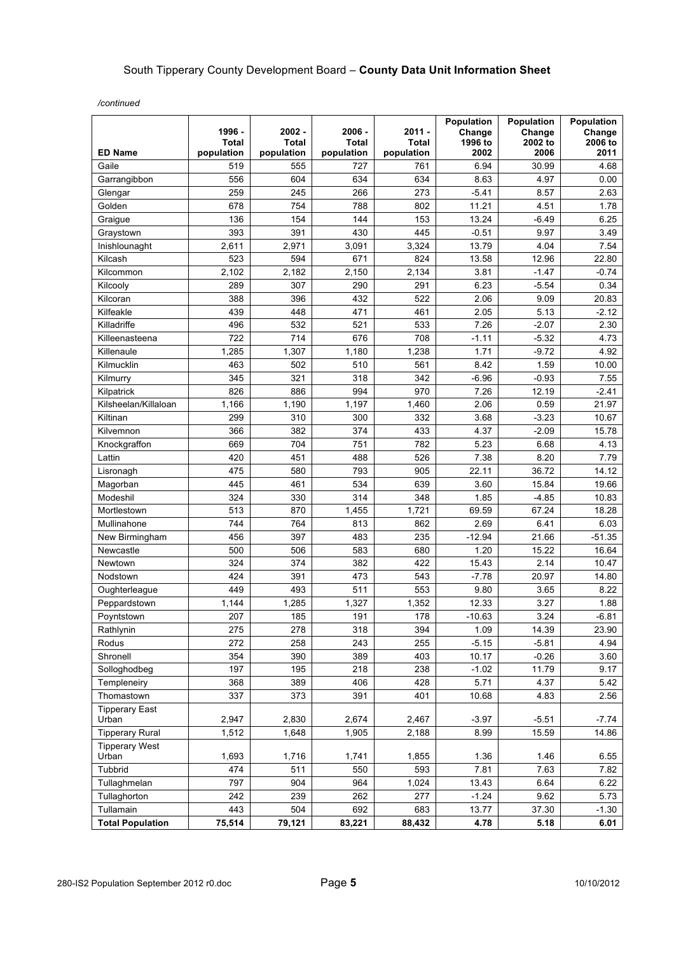### South Tipperary County Development Board – **County Data Unit Information Sheet**

*/continued*

|                         | 1996 -<br><b>Total</b> | $2002 -$<br><b>Total</b> | 2006 -<br><b>Total</b> | $2011 -$<br><b>Total</b> | Population<br>Change<br>1996 to | Population<br>Change<br>2002 to | Population<br>Change<br>2006 to |
|-------------------------|------------------------|--------------------------|------------------------|--------------------------|---------------------------------|---------------------------------|---------------------------------|
| <b>ED Name</b>          | population             | population               | population             | population               | 2002                            | 2006                            | 2011                            |
| Gaile                   | 519                    | 555                      | 727                    | 761                      | 6.94                            | 30.99                           | 4.68                            |
| Garrangibbon            | 556                    | 604                      | 634                    | 634                      | 8.63                            | 4.97                            | 0.00                            |
| Glengar                 | 259                    | 245                      | 266                    | 273                      | $-5.41$                         | 8.57                            | 2.63                            |
| Golden                  | 678                    | 754                      | 788                    | 802                      | 11.21                           | 4.51                            | 1.78                            |
| Graigue                 | 136                    | 154                      | 144                    | 153                      | 13.24                           | $-6.49$                         | 6.25                            |
| Graystown               | 393                    | 391                      | 430                    | 445                      | $-0.51$                         | 9.97                            | 3.49                            |
| Inishlounaght           | 2,611                  | 2,971                    | 3,091                  | 3,324                    | 13.79                           | 4.04                            | 7.54                            |
| Kilcash                 | 523                    | 594                      | 671                    | 824                      | 13.58                           | 12.96                           | 22.80                           |
| Kilcommon               | 2.102                  | 2,182                    | 2,150                  | 2,134                    | 3.81                            | $-1.47$                         | $-0.74$                         |
| Kilcooly                | 289                    | 307                      | 290                    | 291                      | 6.23                            | $-5.54$                         | 0.34                            |
| Kilcoran                | 388                    | 396                      | 432                    | 522                      | 2.06                            | 9.09                            | 20.83                           |
| Kilfeakle               | 439                    | 448                      | 471                    | 461                      | 2.05                            | 5.13                            | $-2.12$                         |
| Killadriffe             | 496                    | 532                      | 521                    | 533                      | 7.26                            | $-2.07$                         | 2.30                            |
| Killeenasteena          | 722                    | 714                      | 676                    | 708                      | $-1.11$                         | $-5.32$                         | 4.73                            |
| Killenaule              | 1,285                  | 1,307                    | 1,180                  | 1,238                    | 1.71                            | $-9.72$                         | 4.92                            |
| Kilmucklin              | 463                    | 502                      | 510                    | 561                      | 8.42                            | 1.59                            | 10.00                           |
| Kilmurry                | 345                    | 321                      | 318                    | 342                      | $-6.96$                         | $-0.93$                         | 7.55                            |
| Kilpatrick              | 826                    | 886                      | 994                    | 970                      | 7.26                            | 12.19                           | $-2.41$                         |
| Kilsheelan/Killaloan    | 1,166                  | 1,190                    | 1,197                  | 1,460                    | 2.06                            | 0.59                            | 21.97                           |
| Kiltinan                | 299                    | 310                      | 300                    | 332                      | 3.68                            | $-3.23$                         | 10.67                           |
| Kilvemnon               | 366                    | 382                      | 374                    | 433                      | 4.37                            | $-2.09$                         | 15.78                           |
| Knockgraffon            | 669                    | 704                      | 751                    | 782                      | 5.23                            | 6.68                            | 4.13                            |
| Lattin                  | 420                    | 451                      | 488                    | 526                      | 7.38                            | 8.20                            | 7.79                            |
| Lisronagh               | 475                    | 580                      | 793                    | 905                      | 22.11                           | 36.72                           | 14.12                           |
| Magorban                | 445                    | 461                      | 534                    | 639                      | 3.60                            | 15.84                           | 19.66                           |
| Modeshil                | 324                    | 330                      | 314                    | 348                      | 1.85                            | $-4.85$                         | 10.83                           |
| Mortlestown             | 513                    | 870                      | 1,455                  | 1,721                    | 69.59                           | 67.24                           | 18.28                           |
| Mullinahone             | 744                    | 764                      | 813                    | 862                      | 2.69                            | 6.41                            | 6.03                            |
| New Birmingham          | 456                    | 397                      | 483                    | 235                      | $-12.94$                        | 21.66                           | $-51.35$                        |
| Newcastle               | 500                    | 506                      | 583                    | 680                      | 1.20                            | 15.22                           | 16.64                           |
| Newtown                 | 324                    | 374                      | 382                    | 422                      | 15.43                           | 2.14                            | 10.47                           |
| Nodstown                | 424                    | 391                      | 473                    | 543                      | $-7.78$                         | 20.97                           | 14.80                           |
| Oughterleague           | 449                    | 493                      | 511                    | 553                      | 9.80                            | 3.65                            | 8.22                            |
| Peppardstown            | 1,144                  | 1,285                    | 1,327                  | 1,352                    | 12.33                           | 3.27                            | 1.88                            |
| Poyntstown              | 207                    | 185                      | 191                    | 178                      | $-10.63$                        | 3.24                            | $-6.81$                         |
| Rathlynin               | 275                    | 278                      | 318                    | 394                      | 1.09                            | 14.39                           | 23.90                           |
| Rodus                   | 272                    | 258                      | 243                    | 255                      | $-5.15$                         | $-5.81$                         | 4.94                            |
| Shronell                | 354                    | 390                      | 389                    | 403                      | 10.17                           | $-0.26$                         | 3.60                            |
| Solloghodbeg            | 197                    | 195                      | 218                    | 238                      | $-1.02$                         | 11.79                           | 9.17                            |
| Templeneiry             | 368                    | 389                      | 406                    | 428                      | 5.71                            | 4.37                            | 5.42                            |
| Thomastown              | 337                    | 373                      | 391                    | 401                      | 10.68                           | 4.83                            | 2.56                            |
| <b>Tipperary East</b>   |                        |                          |                        |                          |                                 |                                 |                                 |
| Urban                   | 2,947                  | 2,830                    | 2,674                  | 2,467                    | $-3.97$                         | $-5.51$                         | -7.74                           |
| <b>Tipperary Rural</b>  | 1,512                  | 1,648                    | 1,905                  | 2,188                    | 8.99                            | 15.59                           | 14.86                           |
| <b>Tipperary West</b>   |                        |                          |                        |                          |                                 |                                 |                                 |
| Urban                   | 1,693                  | 1,716                    | 1,741                  | 1,855                    | 1.36                            | 1.46                            | 6.55                            |
| Tubbrid                 | 474                    | 511                      | 550                    | 593                      | 7.81                            | 7.63                            | 7.82                            |
| Tullaghmelan            | 797                    | 904                      | 964                    | 1,024                    | 13.43                           | 6.64                            | 6.22                            |
| Tullaghorton            | 242                    | 239                      | 262                    | 277                      | $-1.24$                         | 9.62                            | 5.73                            |
| Tullamain               | 443                    | 504                      | 692                    | 683                      | 13.77                           | 37.30                           | $-1.30$                         |
| <b>Total Population</b> | 75,514                 | 79,121                   | 83,221                 | 88,432                   | 4.78                            | 5.18                            | 6.01                            |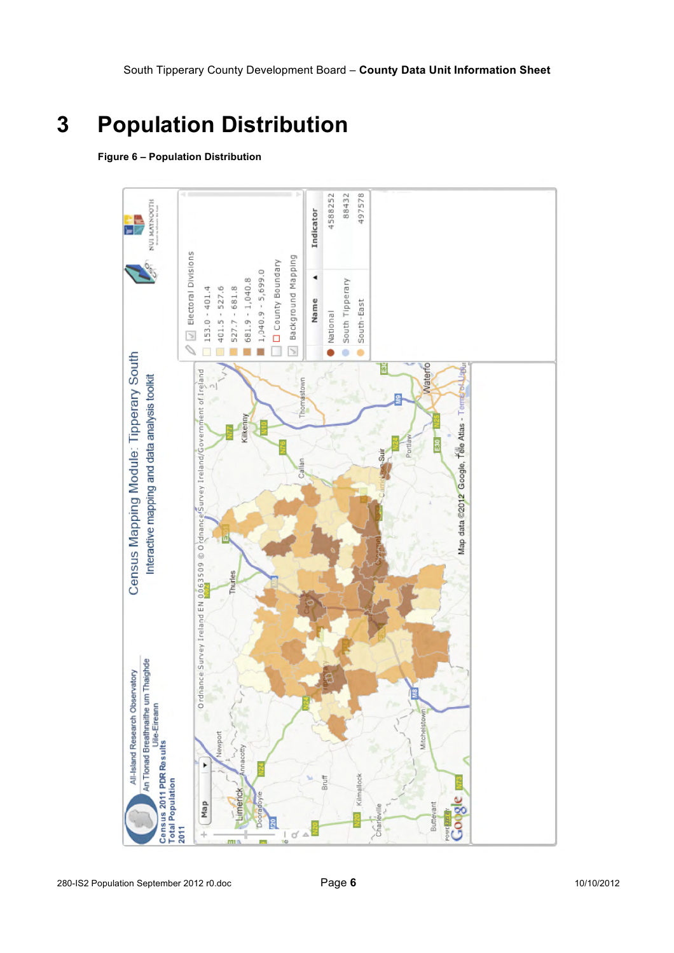## **3 Population Distribution**

**Figure 6 – Population Distribution**